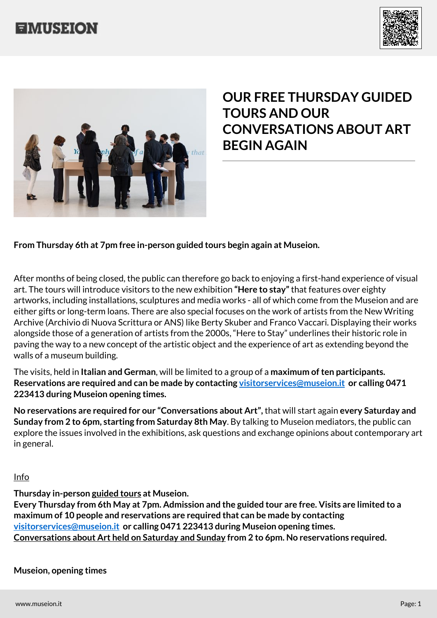





## **OUR FREE THURSDAY GUIDED TOURS AND OUR CONVERSATIONS ABOUT ART BEGIN AGAIN**

## **From Thursday 6th at 7pm free in-person guided tours begin again at Museion.**

After months of being closed, the public can therefore go back to enjoying a first-hand experience of visual art. The tours will introduce visitors to the new exhibition **"Here to stay"** that features over eighty artworks, including installations, sculptures and media works - all of which come from the Museion and are either gifts or long-term loans. There are also special focuses on the work of artists from the New Writing Archive (Archivio di Nuova Scrittura or ANS) like Berty Skuber and Franco Vaccari. Displaying their works alongside those of a generation of artists from the 2000s, "Here to Stay" underlines their historic role in paving the way to a new concept of the artistic object and the experience of art as extending beyond the walls of a museum building.

The visits, held in **Italian and German**, will be limited to a group of a **maximum of ten participants. Reservations are required and can be made by contacting [visitorservices@museion.it](#page--1-0) or calling 0471 223413 during Museion opening times.**

**No reservations are required for our "Conversations about Art",** that will start again **every Saturday and Sunday from 2 to 6pm, starting from Saturday 8th May**. By talking to Museion mediators, the public can explore the issues involved in the exhibitions, ask questions and exchange opinions about contemporary art in general.

Info

**Thursday in-person guided tours at Museion.**

**Every Thursday from 6th May at 7pm. Admission and the guided tour are free. Visits are limited to a maximum of 10 people and reservations are required that can be made by contacting [visitorservices@museion.it](#page--1-0) or calling 0471 223413 during Museion opening times. Conversations about Art held on Saturday and Sunday from 2 to 6pm. No reservations required.**

## **Museion, opening times**